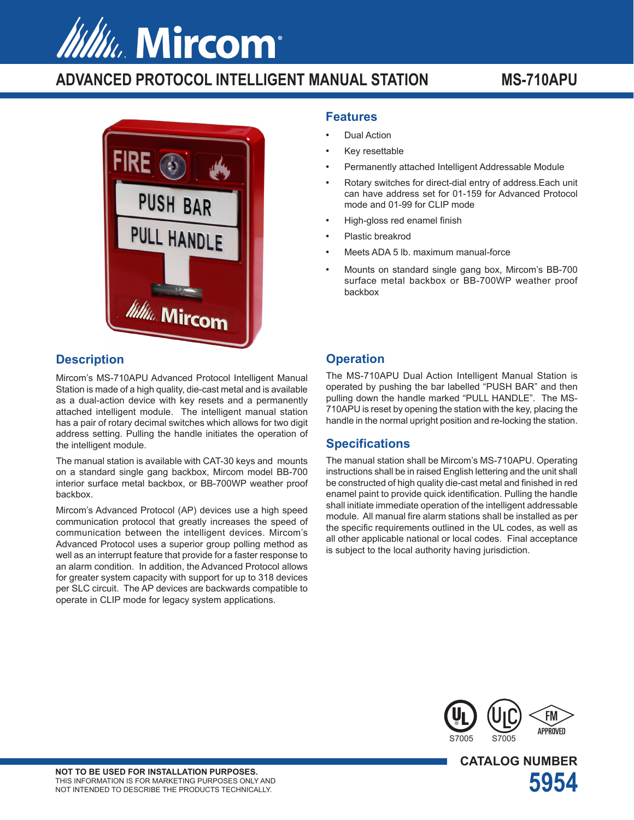# Www. Mircom

# **ADVANCED PROTOCOL INTELLIGENT MANUAL STATION MS-710APU**



### **Description**

Mircom's MS-710APU Advanced Protocol Intelligent Manual Station is made of a high quality, die-cast metal and is available as a dual-action device with key resets and a permanently attached intelligent module. The intelligent manual station has a pair of rotary decimal switches which allows for two digit address setting. Pulling the handle initiates the operation of the intelligent module.

The manual station is available with CAT-30 keys and mounts on a standard single gang backbox, Mircom model BB-700 interior surface metal backbox, or BB-700WP weather proof backbox.

Mircom's Advanced Protocol (AP) devices use a high speed communication protocol that greatly increases the speed of communication between the intelligent devices. Mircom's Advanced Protocol uses a superior group polling method as well as an interrupt feature that provide for a faster response to an alarm condition. In addition, the Advanced Protocol allows for greater system capacity with support for up to 318 devices per SLC circuit. The AP devices are backwards compatible to operate in CLIP mode for legacy system applications.

#### **Features**

- Dual Action
- Key resettable
- Permanently attached Intelligent Addressable Module
- Rotary switches for direct-dial entry of address.Each unit can have address set for 01-159 for Advanced Protocol mode and 01-99 for CLIP mode
- High-gloss red enamel finish
- Plastic breakrod
- Meets ADA 5 lb. maximum manual-force
- Mounts on standard single gang box, Mircom's BB-700 surface metal backbox or BB-700WP weather proof backbox

#### **Operation**

The MS-710APU Dual Action Intelligent Manual Station is operated by pushing the bar labelled "PUSH BAR" and then pulling down the handle marked "PULL HANDLE". The MS-710APU is reset by opening the station with the key, placing the handle in the normal upright position and re-locking the station.

#### **Specifications**

The manual station shall be Mircom's MS-710APU. Operating instructions shall be in raised English lettering and the unit shall be constructed of high quality die-cast metal and finished in red enamel paint to provide quick identification. Pulling the handle shall initiate immediate operation of the intelligent addressable module. All manual fire alarm stations shall be installed as per the specific requirements outlined in the UL codes, as well as all other applicable national or local codes. Final acceptance is subject to the local authority having jurisdiction.



**CATALOG NUMBER**